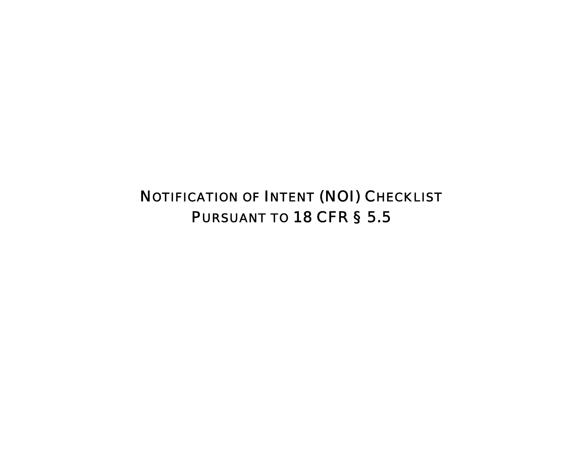NOTIFICATION OF INTENT (NOI) CHECKLIST PURSUANT TO 18 CFR § 5.5